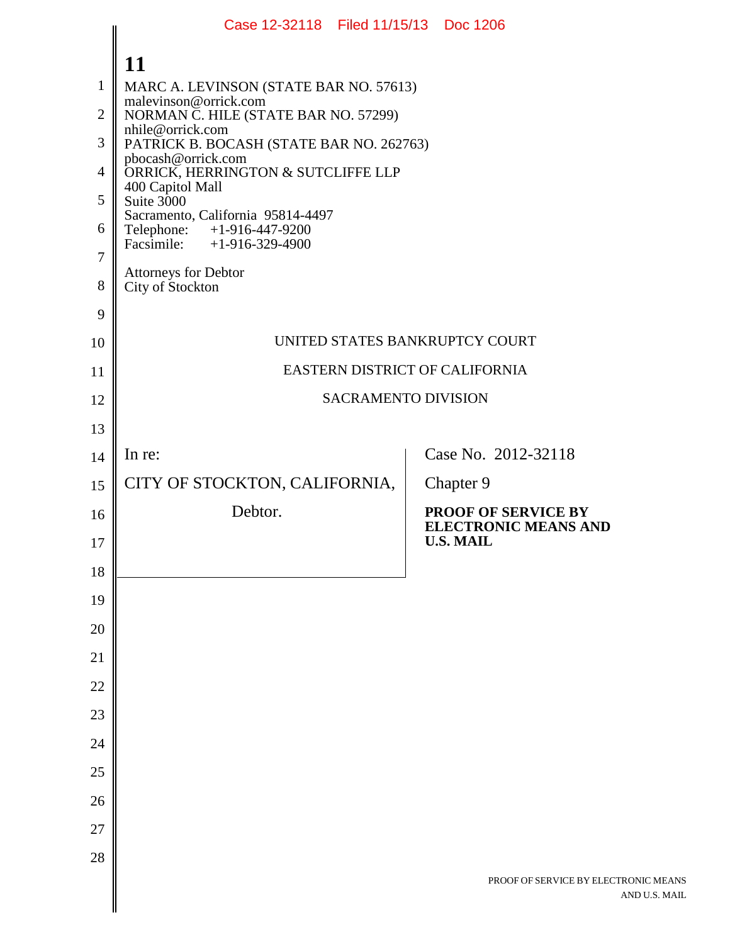|                | Case 12-32118 Filed 11/15/13 Doc 1206                               |                                                           |
|----------------|---------------------------------------------------------------------|-----------------------------------------------------------|
|                | 11                                                                  |                                                           |
| $\mathbf{1}$   | MARC A. LEVINSON (STATE BAR NO. 57613)                              |                                                           |
| $\overline{2}$ | malevinson@orrick.com<br>NORMAN C. HILE (STATE BAR NO. 57299)       |                                                           |
| 3              | nhile@orrick.com<br>PATRICK B. BOCASH (STATE BAR NO. 262763)        |                                                           |
| $\overline{4}$ | pbocash@orrick.com<br>ORRICK, HERRINGTON & SUTCLIFFE LLP            |                                                           |
| 5              | 400 Capitol Mall<br>Suite 3000<br>Sacramento, California 95814-4497 |                                                           |
| 6              | Telephone: +1-916-447-9200<br>Facsimile: $+1-916-329-4900$          |                                                           |
| $\overline{7}$ | Attorneys for Debtor                                                |                                                           |
| 8              | City of Stockton                                                    |                                                           |
| 9              |                                                                     |                                                           |
| 10             | UNITED STATES BANKRUPTCY COURT                                      |                                                           |
| 11             | EASTERN DISTRICT OF CALIFORNIA                                      |                                                           |
| 12             | <b>SACRAMENTO DIVISION</b>                                          |                                                           |
| 13             |                                                                     |                                                           |
| 14             | In re:                                                              | Case No. 2012-32118                                       |
| 15             | CITY OF STOCKTON, CALIFORNIA,                                       | Chapter 9                                                 |
| 16             | Debtor.                                                             | <b>PROOF OF SERVICE BY</b><br><b>ELECTRONIC MEANS AND</b> |
| 17             |                                                                     | <b>U.S. MAIL</b>                                          |
| 18             |                                                                     |                                                           |
| 19             |                                                                     |                                                           |
| 20<br>21       |                                                                     |                                                           |
| 22             |                                                                     |                                                           |
| 23             |                                                                     |                                                           |
| 24             |                                                                     |                                                           |
| 25             |                                                                     |                                                           |
| 26             |                                                                     |                                                           |
| 27             |                                                                     |                                                           |
| 28             |                                                                     |                                                           |
|                |                                                                     | PROOF OF SERVICE BY ELECTRONIC MEANS<br>AND U.S. MAIL     |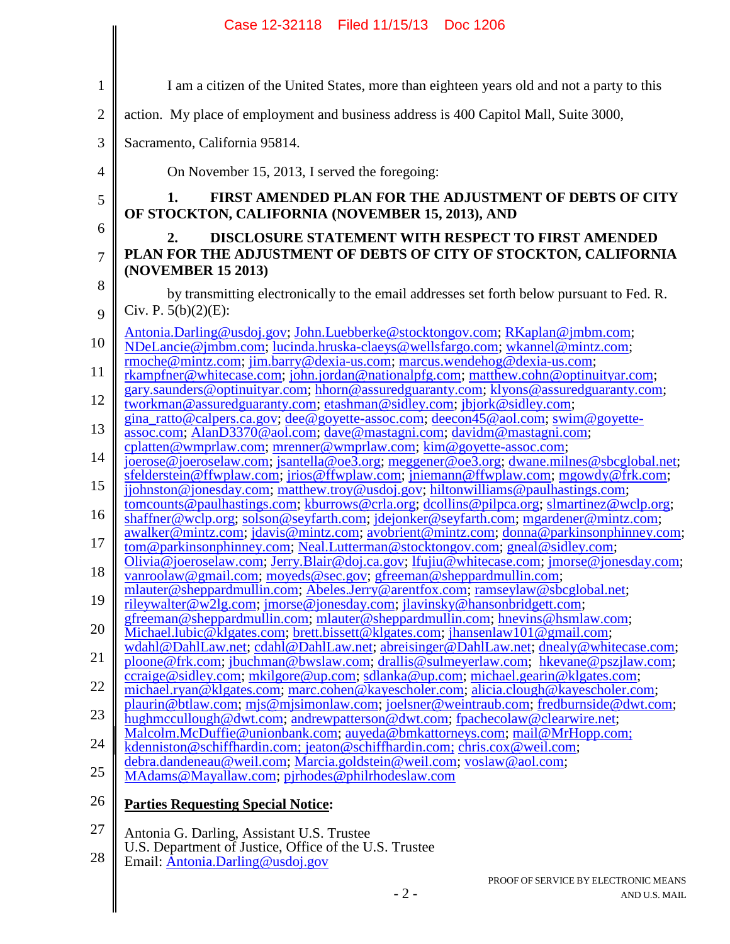|                     | Case 12-32118 Filed 11/15/13 Doc 1206                                                                                                                                                                                                                       |
|---------------------|-------------------------------------------------------------------------------------------------------------------------------------------------------------------------------------------------------------------------------------------------------------|
|                     |                                                                                                                                                                                                                                                             |
| $\mathbf{1}$        | I am a citizen of the United States, more than eighteen years old and not a party to this                                                                                                                                                                   |
| $\overline{2}$      | action. My place of employment and business address is 400 Capitol Mall, Suite 3000,                                                                                                                                                                        |
| 3                   | Sacramento, California 95814.                                                                                                                                                                                                                               |
| $\overline{4}$      | On November 15, 2013, I served the foregoing:                                                                                                                                                                                                               |
| $\mathfrak{S}$      | <b>FIRST AMENDED PLAN FOR THE ADJUSTMENT OF DEBTS OF CITY</b><br>OF STOCKTON, CALIFORNIA (NOVEMBER 15, 2013), AND                                                                                                                                           |
| 6<br>$\overline{7}$ | <b>DISCLOSURE STATEMENT WITH RESPECT TO FIRST AMENDED</b><br>2.<br>PLAN FOR THE ADJUSTMENT OF DEBTS OF CITY OF STOCKTON, CALIFORNIA                                                                                                                         |
| 8                   | (NOVEMBER 15 2013)<br>by transmitting electronically to the email addresses set forth below pursuant to Fed. R.                                                                                                                                             |
| 9                   | Civ. P. $5(b)(2)(E)$ :                                                                                                                                                                                                                                      |
| 10                  | Antonia.Darling@usdoj.gov; John.Luebberke@stocktongov.com; RKaplan@jmbm.com;<br>NDeLancie@jmbm.com; lucinda.hruska-claeys@wellsfargo.com; wkannel@mintz.com;<br>rmoche@mintz.com; jim.barry@dexia-us.com; marcus.wendehog@dexia-us.com;                     |
| 11                  | rkampfner@whitecase.com; john.jordan@nationalpfg.com; matthew.cohn@optinuityar.com;<br>gary.saunders@optinuityar.com; hhorn@assuredguaranty.com; klyons@assuredguaranty.com;                                                                                |
| 12                  | tworkman@assuredguaranty.com; etashman@sidley.com; jbjork@sidley.com;<br>gina_ratto@calpers.ca.gov; dee@goyette-assoc.com; deecon45@aol.com; swim@goyette-                                                                                                  |
| 13                  | assoc.com; AlanD3370@aol.com; dave@mastagni.com; davidm@mastagni.com;<br>cplatten@wmprlaw.com; mrenner@wmprlaw.com; kim@goyette-assoc.com;                                                                                                                  |
| 14                  | joerose@joeroselaw.com; jsantella@oe3.org; meggener@oe3.org; dwane.milnes@sbcglobal.net;<br>sfelderstein@ffwplaw.com; jrios@ffwplaw.com; jniemann@ffwplaw.com; mgowdy@frk.com;                                                                              |
| 15                  | jjohnston@jonesday.com; matthew.troy@usdoj.gov; hiltonwilliams@paulhastings.com;<br>tomcounts@paulhastings.com; kburrows@crla.org; dcollins@pilpca.org; slmartinez@wclp.org;                                                                                |
| 16                  | shaffner@wclp.org; solson@seyfarth.com; jdejonker@seyfarth.com; mgardener@mintz.com;<br>awalker@mintz.com; jdavis@mintz.com; avobrient@mintz.com; donna@parkinsonphinney.com;                                                                               |
| 17                  | tom@parkinsonphinney.com; Neal.Lutterman@stocktongov.com; gneal@sidley.com;<br>Olivia@joeroselaw.com; Jerry.Blair@doj.ca.gov; lfujiu@whitecase.com; jmorse@jonesday.com;                                                                                    |
| 18                  | vanroolaw@gmail.com; moyeds@sec.gov; gfreeman@sheppardmullin.com;<br>mlauter@sheppardmullin.com; Abeles.Jerry@arentfox.com; ramseylaw@sbcglobal.net;                                                                                                        |
| 19<br>20            | rileywalter@w2lg.com; jmorse@jonesday.com; jlavinsky@hansonbridgett.com;<br>gfreeman@sheppardmullin.com; mlauter@sheppardmullin.com; hnevins@hsmlaw.com;                                                                                                    |
| 21                  | Michael.lubic@klgates.com; brett.bissett@klgates.com; jhansenlaw101@gmail.com;<br>wdahl@DahlLaw.net; cdahl@DahlLaw.net; abreisinger@DahlLaw.net; dnealy@whitecase.com;                                                                                      |
| 22                  | ploone@frk.com; jbuchman@bwslaw.com; drallis@sulmeyerlaw.com; hkevane@pszjlaw.com;<br>ccraige@sidley.com; mkilgore@up.com; sdlanka@up.com; michael.gearin@klgates.com;                                                                                      |
| 23                  | michael.ryan@klgates.com; marc.cohen@kayescholer.com; alicia.clough@kayescholer.com;<br>plaurin@btlaw.com; mjs@mjsimonlaw.com; joelsner@weintraub.com; fredburnside@dwt.com;<br>hughmccullough@dwt.com; andrewpatterson@dwt.com; fpachecolaw@clearwire.net; |
| 24                  | Malcolm.McDuffie@unionbank.com; auyeda@bmkattorneys.com; mail@MrHopp.com;<br>kdenniston@schiffhardin.com; jeaton@schiffhardin.com; chris.cox@weil.com;                                                                                                      |
| 25                  | debra.dandeneau@weil.com; Marcia.goldstein@weil.com; voslaw@aol.com;<br>MAdams@Mayallaw.com; pjrhodes@philrhodeslaw.com                                                                                                                                     |
| 26                  | <b>Parties Requesting Special Notice:</b>                                                                                                                                                                                                                   |
| 27                  | Antonia G. Darling, Assistant U.S. Trustee                                                                                                                                                                                                                  |
| 28                  | U.S. Department of Justice, Office of the U.S. Trustee<br>Email: Antonia.Darling@usdoj.gov                                                                                                                                                                  |
|                     | PROOF OF SERVICE BY ELECTRONIC MEANS<br>$-2-$<br>AND U.S. MAIL                                                                                                                                                                                              |
|                     |                                                                                                                                                                                                                                                             |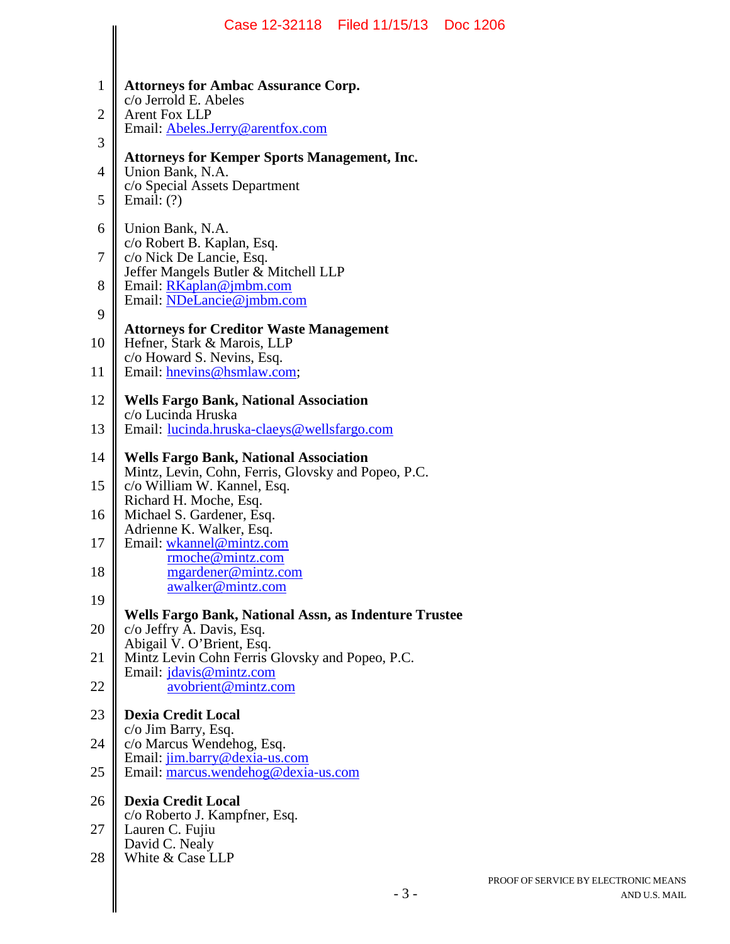|                                | Case 12-32118   Filed 11/15/13   Doc 1206                                                                                                                                    |                 |
|--------------------------------|------------------------------------------------------------------------------------------------------------------------------------------------------------------------------|-----------------|
| $\mathbf{1}$<br>$\overline{2}$ | <b>Attorneys for Ambac Assurance Corp.</b><br>c/o Jerrold E. Abeles<br><b>Arent Fox LLP</b><br>Email: Abeles.Jerry@arentfox.com                                              |                 |
| 3                              | <b>Attorneys for Kemper Sports Management, Inc.</b>                                                                                                                          |                 |
| $\overline{4}$<br>5            | Union Bank, N.A.<br>c/o Special Assets Department<br>Email: $(?)$                                                                                                            |                 |
| 6<br>7<br>8                    | Union Bank, N.A.<br>c/o Robert B. Kaplan, Esq.<br>c/o Nick De Lancie, Esq.<br>Jeffer Mangels Butler & Mitchell LLP<br>Email: $RKaplan@jmbm.com$<br>Email: NDeLancie@jmbm.com |                 |
| 9<br>10                        | <b>Attorneys for Creditor Waste Management</b><br>Hefner, Stark & Marois, LLP<br>c/o Howard S. Nevins, Esq.                                                                  |                 |
| 11                             | Email: hnevins@hsmlaw.com;                                                                                                                                                   |                 |
| 12<br>13                       | <b>Wells Fargo Bank, National Association</b><br>c/o Lucinda Hruska<br>Email: lucinda.hruska-claeys@wellsfargo.com                                                           |                 |
| 14                             | <b>Wells Fargo Bank, National Association</b>                                                                                                                                |                 |
| 15                             | Mintz, Levin, Cohn, Ferris, Glovsky and Popeo, P.C.<br>c/o William W. Kannel, Esq.                                                                                           |                 |
| 16                             | Richard H. Moche, Esq.<br>Michael S. Gardener, Esq.                                                                                                                          |                 |
| 17                             | Adrienne K. Walker, Esq.<br>Email: wkannel@mintz.com<br>rmoche@mintz.com                                                                                                     |                 |
| 18                             | mgardener@mintz.com<br>awalker@mintz.com                                                                                                                                     |                 |
| 19                             | Wells Fargo Bank, National Assn, as Indenture Trustee                                                                                                                        |                 |
| 20<br>21                       | c/o Jeffry A. Davis, Esq.<br>Abigail V. O'Brient, Esq.<br>Mintz Levin Cohn Ferris Glovsky and Popeo, P.C.                                                                    |                 |
| 22                             | Email: jdavis@mintz.com<br>avobrient@mintz.com                                                                                                                               |                 |
| 23                             | <b>Dexia Credit Local</b>                                                                                                                                                    |                 |
| 24                             | c/o Jim Barry, Esq.<br>c/o Marcus Wendehog, Esq.<br>Email: jim.barry@dexia-us.com                                                                                            |                 |
| 25                             | Email: marcus.wendehog@dexia-us.com                                                                                                                                          |                 |
| 26                             | <b>Dexia Credit Local</b><br>c/o Roberto J. Kampfner, Esq.                                                                                                                   |                 |
| 27                             | Lauren C. Fujiu<br>David C. Nealy                                                                                                                                            |                 |
| 28                             | White & Case LLP                                                                                                                                                             |                 |
|                                | $-3-$                                                                                                                                                                        | PR <sub>O</sub> |
|                                |                                                                                                                                                                              |                 |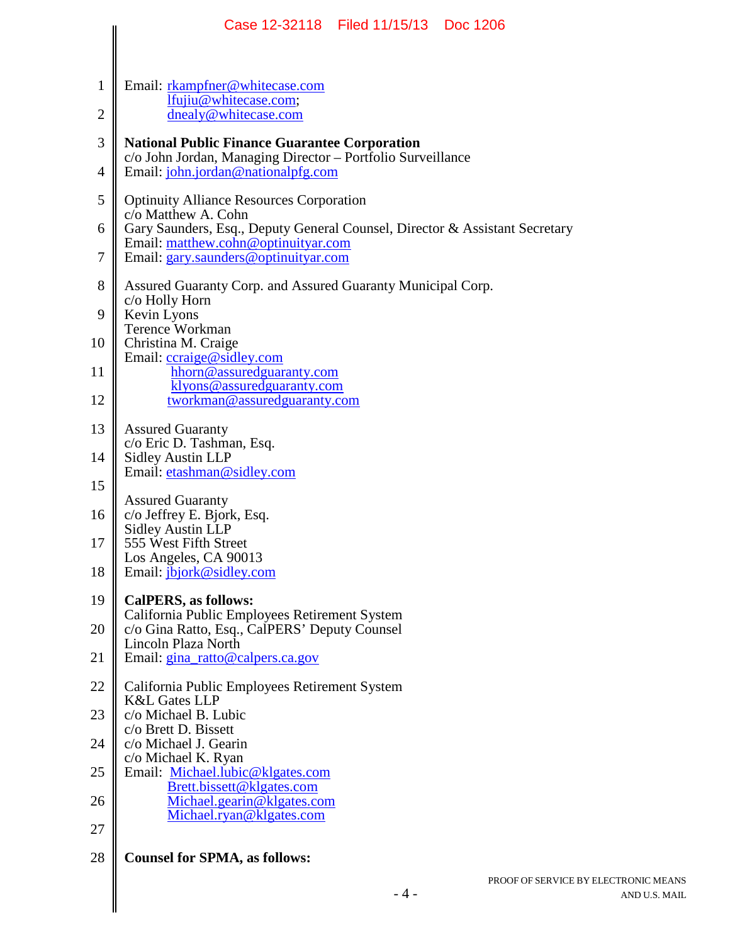|                | Case 12-32118 Filed 11/15/13<br>Doc 1206                                                                            |
|----------------|---------------------------------------------------------------------------------------------------------------------|
|                |                                                                                                                     |
| 1              | Email: rkampfner@whitecase.com<br>lfujiu@whitecase.com;                                                             |
| $\overline{2}$ | dnealy@whitecase.com                                                                                                |
| 3              | <b>National Public Finance Guarantee Corporation</b><br>c/o John Jordan, Managing Director - Portfolio Surveillance |
| 4              | Email: john.jordan@nationalpfg.com                                                                                  |
| 5              | <b>Optinuity Alliance Resources Corporation</b><br>c/o Matthew A. Cohn                                              |
| 6              | Gary Saunders, Esq., Deputy General Counsel, Director & Assistant Secretary<br>Email: matthew.cohn@optinuityar.com  |
| 7              | Email: gary.saunders@optinuityar.com                                                                                |
| 8              | Assured Guaranty Corp. and Assured Guaranty Municipal Corp.<br>c/o Holly Horn                                       |
| 9              | Kevin Lyons<br><b>Terence Workman</b>                                                                               |
| 10             | Christina M. Craige                                                                                                 |
| 11             | Email: ccraige@sidley.com<br>hhorn@assuredguaranty.com                                                              |
| 12             | klyons@assuredguaranty.com<br>tworkman@assuredguaranty.com                                                          |
| 13             | <b>Assured Guaranty</b>                                                                                             |
| 14             | c/o Eric D. Tashman, Esq.<br><b>Sidley Austin LLP</b>                                                               |
| 15             | Email: etashman@sidley.com                                                                                          |
| 16             | <b>Assured Guaranty</b><br>c/o Jeffrey E. Bjork, Esq.                                                               |
| 17             | <b>Sidley Austin LLP</b><br>555 West Fifth Street                                                                   |
|                | Los Angeles, CA 90013                                                                                               |
| 18             | Email: jbjork@sidley.com                                                                                            |
| 19             | <b>CalPERS, as follows:</b><br>California Public Employees Retirement System                                        |
| 20             | c/o Gina Ratto, Esq., CalPERS' Deputy Counsel<br>Lincoln Plaza North                                                |
| 21             | Email: gina_ratto@calpers.ca.gov                                                                                    |
| 22             | California Public Employees Retirement System<br><b>K&amp;L Gates LLP</b>                                           |
| 23             | c/o Michael B. Lubic<br>c/o Brett D. Bissett                                                                        |
| 24             | c/o Michael J. Gearin                                                                                               |
| 25             | c/o Michael K. Ryan<br>Email: Michael.lubic@klgates.com                                                             |
| 26             | Brett.bissett@klgates.com<br>Michael.gearin@klgates.com                                                             |
| 27             | Michael.ryan@klgates.com                                                                                            |
| 28             | <b>Counsel for SPMA, as follows:</b>                                                                                |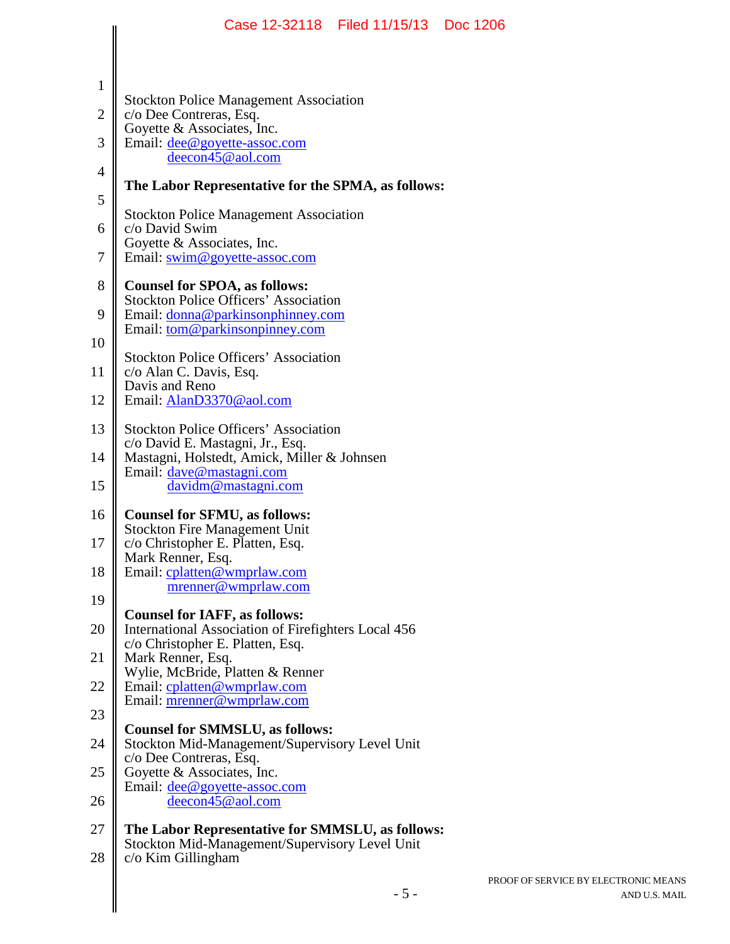|                | Case 12-32118   Filed 11/15/13   Doc 1206                                                                           |     |
|----------------|---------------------------------------------------------------------------------------------------------------------|-----|
|                |                                                                                                                     |     |
| $\mathbf{1}$   | <b>Stockton Police Management Association</b>                                                                       |     |
| $\mathfrak{2}$ | c/o Dee Contreras, Esq.<br>Goyette & Associates, Inc.                                                               |     |
| 3              | Email: dee@goyette-assoc.com<br>deecon45@aol.com                                                                    |     |
| 4              | The Labor Representative for the SPMA, as follows:                                                                  |     |
| 5              | <b>Stockton Police Management Association</b>                                                                       |     |
| 6<br>7         | c/o David Swim<br>Goyette & Associates, Inc.<br>Email: swim@goyette-assoc.com                                       |     |
| 8              | <b>Counsel for SPOA, as follows:</b>                                                                                |     |
| 9              | <b>Stockton Police Officers' Association</b><br>Email: donna@parkinsonphinney.com<br>Email: tom@parkinsonpinney.com |     |
| 10             | <b>Stockton Police Officers' Association</b>                                                                        |     |
| 11             | c/o Alan C. Davis, Esq.<br>Davis and Reno                                                                           |     |
| 12             | Email: AlanD3370@aol.com                                                                                            |     |
| 13             | <b>Stockton Police Officers' Association</b><br>c/o David E. Mastagni, Jr., Esq.                                    |     |
| 14             | Mastagni, Holstedt, Amick, Miller & Johnsen<br>Email: dave@mastagni.com                                             |     |
| 15             | davidm@mastagni.com                                                                                                 |     |
| 16             | <b>Counsel for SFMU, as follows:</b><br><b>Stockton Fire Management Unit</b>                                        |     |
| 17             | c/o Christopher E. Platten, Esq.<br>Mark Renner, Esq.                                                               |     |
| 18             | Email: cplatten@wmprlaw.com<br>mrenner@wmprlaw.com                                                                  |     |
| 19             | <b>Counsel for IAFF, as follows:</b>                                                                                |     |
| 20             | International Association of Firefighters Local 456<br>c/o Christopher E. Platten, Esq.                             |     |
| 21             | Mark Renner, Esq.<br>Wylie, McBride, Platten & Renner                                                               |     |
| 22             | Email: cplatten@wmprlaw.com<br>Email: mrenner@wmprlaw.com                                                           |     |
| 23             | <b>Counsel for SMMSLU, as follows:</b>                                                                              |     |
| 24             | Stockton Mid-Management/Supervisory Level Unit<br>c/o Dee Contreras, Esq.                                           |     |
| 25<br>26       | Goyette & Associates, Inc.<br>Email: dee@goyette-assoc.com<br>deecon45@aol.com                                      |     |
| 27             | The Labor Representative for SMMSLU, as follows:                                                                    |     |
| 28             | Stockton Mid-Management/Supervisory Level Unit<br>c/o Kim Gillingham                                                |     |
|                | $-5-$                                                                                                               | PRC |
|                |                                                                                                                     |     |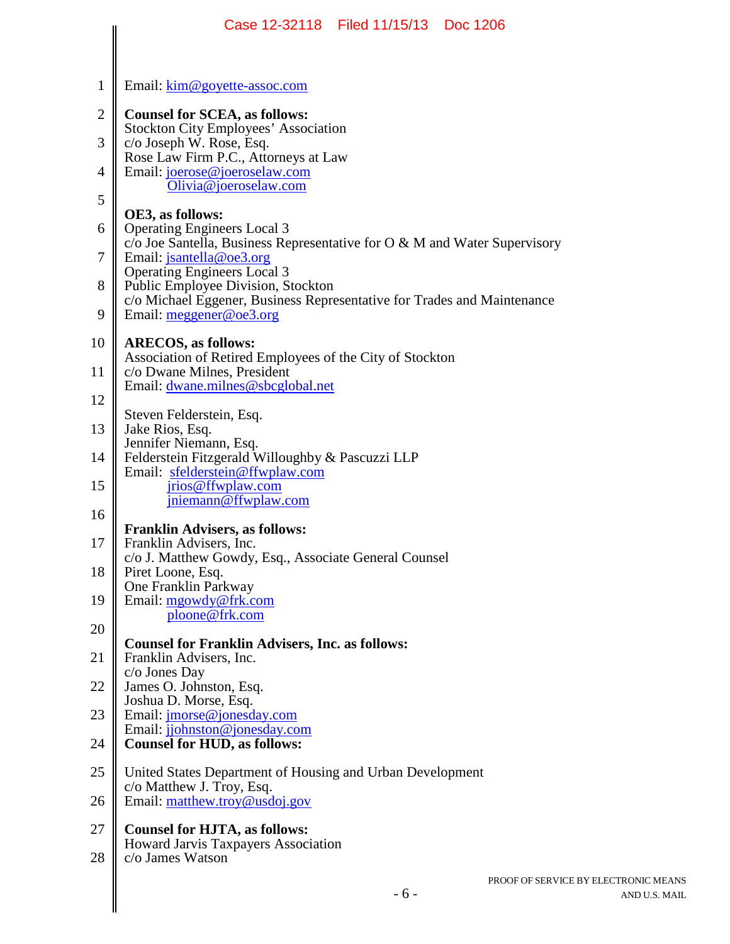|                | Case 12-32118 Filed 11/15/13<br>Doc 1206                                                              |
|----------------|-------------------------------------------------------------------------------------------------------|
|                |                                                                                                       |
| $\mathbf{1}$   | Email: kim@goyette-assoc.com                                                                          |
| $\mathbf{2}$   | <b>Counsel for SCEA, as follows:</b>                                                                  |
| 3              | <b>Stockton City Employees' Association</b><br>c/o Joseph W. Rose, Esq.                               |
| $\overline{4}$ | Rose Law Firm P.C., Attorneys at Law<br>Email: joerose@joeroselaw.com                                 |
| 5              | Olivia@joeroselaw.com                                                                                 |
| 6              | OE3, as follows:<br><b>Operating Engineers Local 3</b>                                                |
| 7              | $c$ Joe Santella, Business Representative for O & M and Water Supervisory<br>Email: jsantella@oe3.org |
| 8              | <b>Operating Engineers Local 3</b><br>Public Employee Division, Stockton                              |
| 9              | c/o Michael Eggener, Business Representative for Trades and Maintenance<br>Email: $meggener@oe3.org$  |
| 10             | <b>ARECOS, as follows:</b>                                                                            |
| 11             | Association of Retired Employees of the City of Stockton<br>c/o Dwane Milnes, President               |
| 12             | Email: dwane.milnes@sbcglobal.net                                                                     |
| 13             | Steven Felderstein, Esq.<br>Jake Rios, Esq.                                                           |
| 14             | Jennifer Niemann, Esq.<br>Felderstein Fitzgerald Willoughby & Pascuzzi LLP                            |
| 15             | Email: sfelderstein@ffwplaw.com<br>jrios@ffwplaw.com                                                  |
| 16             | jniemann@ffwplaw.com                                                                                  |
| 17             | <b>Franklin Advisers, as follows:</b><br>Franklin Advisers, Inc.                                      |
| 18             | c/o J. Matthew Gowdy, Esq., Associate General Counsel                                                 |
|                | Piret Loone, Esq.<br>One Franklin Parkway                                                             |
| 19             | Email: mgowdy@frk.com<br>ploone@frk.com                                                               |
| 20             | <b>Counsel for Franklin Advisers, Inc. as follows:</b>                                                |
| 21             | Franklin Advisers, Inc.<br>c/o Jones Day                                                              |
| 22             | James O. Johnston, Esq.<br>Joshua D. Morse, Esq.                                                      |
| 23             | Email: <i>jmorse@jonesday.com</i><br>Email: jjohnston@jonesday.com                                    |
| 24             | <b>Counsel for HUD, as follows:</b>                                                                   |
| 25             | United States Department of Housing and Urban Development<br>c/o Matthew J. Troy, Esq.                |
| 26             | Email: matthew.troy@usdoj.gov                                                                         |
| 27             | <b>Counsel for HJTA, as follows:</b><br>Howard Jarvis Taxpayers Association                           |
| 28             | c/o James Watson                                                                                      |
|                | PROOF OF SERVICE<br>$-6-$                                                                             |
|                |                                                                                                       |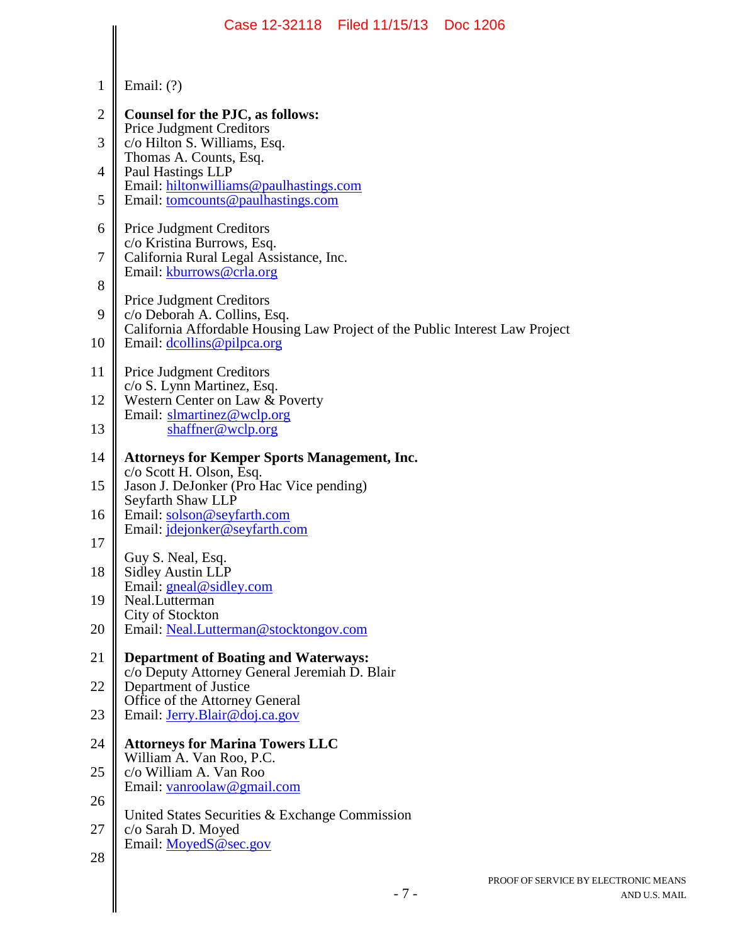|                | Case 12-32118 Filed 11/15/13 Doc 1206                                                                        |
|----------------|--------------------------------------------------------------------------------------------------------------|
|                |                                                                                                              |
| $\mathbf 1$    | Email: $(?)$                                                                                                 |
| $\mathbf{2}$   | Counsel for the PJC, as follows:                                                                             |
| 3              | <b>Price Judgment Creditors</b><br>c/o Hilton S. Williams, Esq.                                              |
| $\overline{4}$ | Thomas A. Counts, Esq.<br>Paul Hastings LLP<br>Email: hiltonwilliams@paulhastings.com                        |
| 5              | Email: tomcounts@paulhastings.com                                                                            |
| 6              | <b>Price Judgment Creditors</b><br>c/o Kristina Burrows, Esq.                                                |
| 7              | California Rural Legal Assistance, Inc.<br>Email: kburrows@crla.org                                          |
| 8              | <b>Price Judgment Creditors</b>                                                                              |
| 9              | c/o Deborah A. Collins, Esq.<br>California Affordable Housing Law Project of the Public Interest Law Project |
| 10             | Email: dcollins@pilpca.org                                                                                   |
| 11             | <b>Price Judgment Creditors</b><br>c/o S. Lynn Martinez, Esq.                                                |
| 12             | Western Center on Law & Poverty<br>Email: slmartinez@wclp.org                                                |
| 13             | shaffner@wclp.org                                                                                            |
| 14             | <b>Attorneys for Kemper Sports Management, Inc.</b><br>c/o Scott H. Olson, Esq.                              |
| 15             | Jason J. DeJonker (Pro Hac Vice pending)<br>Seyfarth Shaw LLP                                                |
| 16             | Email: solson@seyfarth.com<br>Email: jdejonker@seyfarth.com                                                  |
| 17             | Guy S. Neal, Esq.                                                                                            |
| 18             | <b>Sidley Austin LLP</b><br>Email: gneal@sidley.com                                                          |
| 19             | Neal.Lutterman<br>City of Stockton                                                                           |
| 20             | Email: Neal.Lutterman@stocktongov.com                                                                        |
| 21             | <b>Department of Boating and Waterways:</b><br>c/o Deputy Attorney General Jeremiah D. Blair                 |
| 22             | Department of Justice<br>Office of the Attorney General                                                      |
| 23             | Email: Jerry.Blair@doj.ca.gov                                                                                |
| 24             | <b>Attorneys for Marina Towers LLC</b><br>William A. Van Roo, P.C.                                           |
| 25             | c/o William A. Van Roo<br>Email: vanroolaw@gmail.com                                                         |
| 26             | United States Securities & Exchange Commission                                                               |
| 27             | c/o Sarah D. Moyed<br>Email: MoyedS@sec.gov                                                                  |
| 28             |                                                                                                              |
|                | PROOF OF SERVICE<br>$-7-$                                                                                    |
|                |                                                                                                              |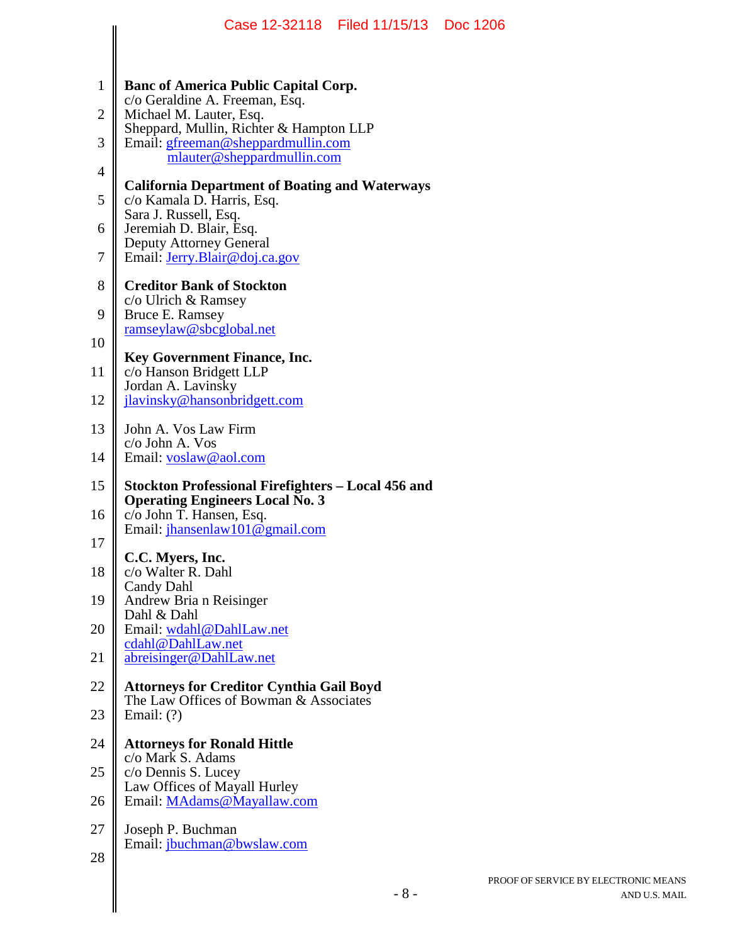|                |                                                                                           | Case 12-32118   Filed 11/15/13   Doc 1206 |     |
|----------------|-------------------------------------------------------------------------------------------|-------------------------------------------|-----|
|                |                                                                                           |                                           |     |
| 1              | <b>Banc of America Public Capital Corp.</b><br>c/o Geraldine A. Freeman, Esq.             |                                           |     |
| $\overline{2}$ | Michael M. Lauter, Esq.<br>Sheppard, Mullin, Richter & Hampton LLP                        |                                           |     |
| 3              | Email: gfreeman@sheppardmullin.com<br>mlauter@sheppardmullin.com                          |                                           |     |
| $\overline{4}$ | <b>California Department of Boating and Waterways</b>                                     |                                           |     |
| 5              | c/o Kamala D. Harris, Esq.<br>Sara J. Russell, Esq.                                       |                                           |     |
| 6              | Jeremiah D. Blair, Esq.<br><b>Deputy Attorney General</b>                                 |                                           |     |
| 7              | Email: Jerry.Blair@doj.ca.gov                                                             |                                           |     |
| 8              | <b>Creditor Bank of Stockton</b>                                                          |                                           |     |
| 9              | c/o Ulrich & Ramsey<br>Bruce E. Ramsey                                                    |                                           |     |
| 10             | ramseylaw@sbcglobal.net                                                                   |                                           |     |
| 11             | <b>Key Government Finance, Inc.</b><br>c/o Hanson Bridgett LLP                            |                                           |     |
| 12             | Jordan A. Lavinsky<br>jlavinsky@hansonbridgett.com                                        |                                           |     |
| 13             | John A. Vos Law Firm                                                                      |                                           |     |
| 14             | c/o John A. Vos<br>Email: voslaw@aol.com                                                  |                                           |     |
| 15             | Stockton Professional Firefighters – Local 456 and                                        |                                           |     |
| 16             | <b>Operating Engineers Local No. 3</b><br>c/o John T. Hansen, Esq.                        |                                           |     |
| 17             | Email: jhansenlaw101@gmail.com                                                            |                                           |     |
| 18             | C.C. Myers, Inc.<br>c/o Walter R. Dahl                                                    |                                           |     |
|                | Candy Dahl                                                                                |                                           |     |
| 19             | Andrew Bria n Reisinger<br>Dahl & Dahl                                                    |                                           |     |
| 20             | Email: wdahl@DahlLaw.net<br>cdahl@DahlLaw.net                                             |                                           |     |
| 21             | abreisinger@DahlLaw.net                                                                   |                                           |     |
| 22             | <b>Attorneys for Creditor Cynthia Gail Boyd</b><br>The Law Offices of Bowman & Associates |                                           |     |
| 23             | Email: $(?)$                                                                              |                                           |     |
| 24             | <b>Attorneys for Ronald Hittle</b>                                                        |                                           |     |
| 25             | c/o Mark S. Adams<br>c/o Dennis S. Lucey                                                  |                                           |     |
| 26             | Law Offices of Mayall Hurley<br>Email: MAdams@Mayallaw.com                                |                                           |     |
| 27             | Joseph P. Buchman                                                                         |                                           |     |
| 28             | Email: jbuchman@bwslaw.com                                                                |                                           |     |
|                |                                                                                           |                                           | PRC |
|                |                                                                                           | $-8-$                                     |     |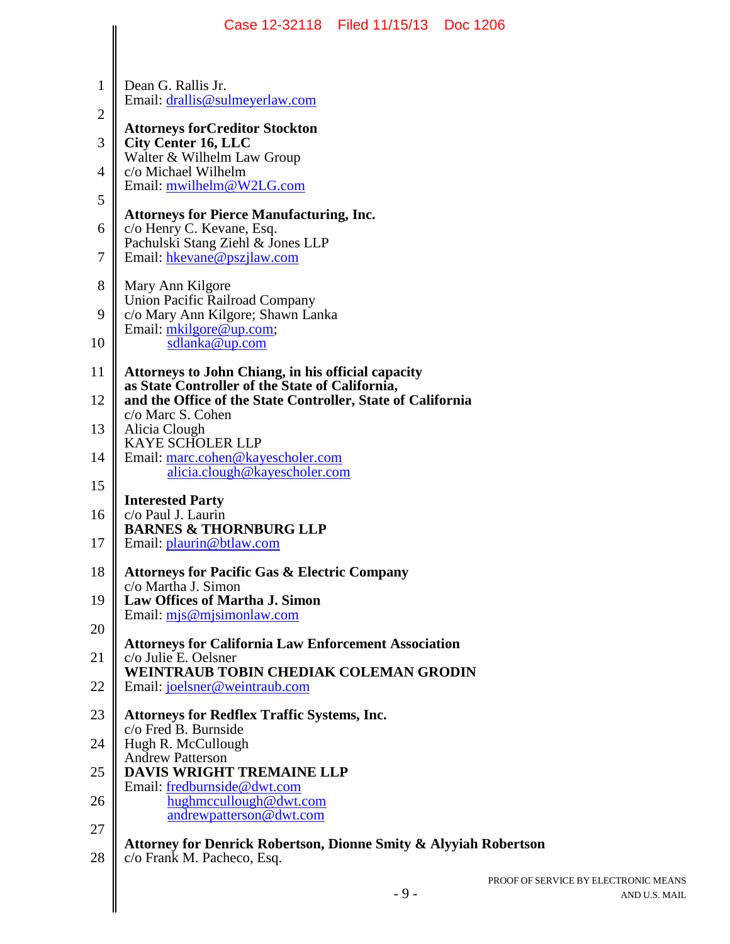|              | Case 12-32118 Filed 11/15/13<br>Doc 1206                                                                     |
|--------------|--------------------------------------------------------------------------------------------------------------|
| 1            | Dean G. Rallis Jr.                                                                                           |
| $\mathbf{2}$ | Email: drallis@sulmeyerlaw.com                                                                               |
| 3            | <b>Attorneys forCreditor Stockton</b><br><b>City Center 16, LLC</b>                                          |
| 4            | Walter & Wilhelm Law Group<br>c/o Michael Wilhelm                                                            |
| 5            | Email: mwilhelm@W2LG.com                                                                                     |
| 6            | <b>Attorneys for Pierce Manufacturing, Inc.</b><br>c/o Henry C. Kevane, Esq.                                 |
| 7            | Pachulski Stang Ziehl & Jones LLP<br>Email: hkevane@pszjlaw.com                                              |
| 8            |                                                                                                              |
| 9            | Mary Ann Kilgore<br><b>Union Pacific Railroad Company</b>                                                    |
|              | c/o Mary Ann Kilgore; Shawn Lanka<br>Email: mkilgore@up.com;                                                 |
| 10           | sdlanka@up.com                                                                                               |
| 11           | <b>Attorneys to John Chiang, in his official capacity</b><br>as State Controller of the State of California, |
| 12           | and the Office of the State Controller, State of California<br>c/o Marc S. Cohen                             |
| 13           | Alicia Clough<br><b>KAYE SCHOLER LLP</b>                                                                     |
| 14           | Email: marc.cohen@kayescholer.com<br>alicia.clough@kayescholer.com                                           |
| 15           | <b>Interested Party</b>                                                                                      |
| 16           | c/o Paul J. Laurin<br><b>BARNES &amp; THORNBURG LLP</b>                                                      |
| 17           | Email: plaurin@btlaw.com                                                                                     |
| 18           | <b>Attorneys for Pacific Gas &amp; Electric Company</b><br>c/o Martha J. Simon                               |
| 19           | Law Offices of Martha J. Simon<br>Email: $mjs@mjsimonlaw.com$                                                |
| 20           | <b>Attorneys for California Law Enforcement Association</b>                                                  |
| 21           | c/o Julie E. Oelsner<br><b>WEINTRAUB TOBIN CHEDIAK COLEMAN GRODIN</b>                                        |
| 22           | Email: joelsner@weintraub.com                                                                                |
| 23           | <b>Attorneys for Redflex Traffic Systems, Inc.</b><br>c/o Fred B. Burnside                                   |
| 24           | Hugh R. McCullough                                                                                           |
| 25           | <b>Andrew Patterson</b><br><b>DAVIS WRIGHT TREMAINE LLP</b>                                                  |
| 26           | Email: fredburnside@dwt.com<br>hughmccullough@dwt.com                                                        |
| 27           | andrewpatterson@dwt.com                                                                                      |
| 28           | Attorney for Denrick Robertson, Dionne Smity & Alyyiah Robertson<br>c/o Frank M. Pacheco, Esq.               |
|              | PROOF OF SERVICE BY ELE<br>$-9-$                                                                             |
|              |                                                                                                              |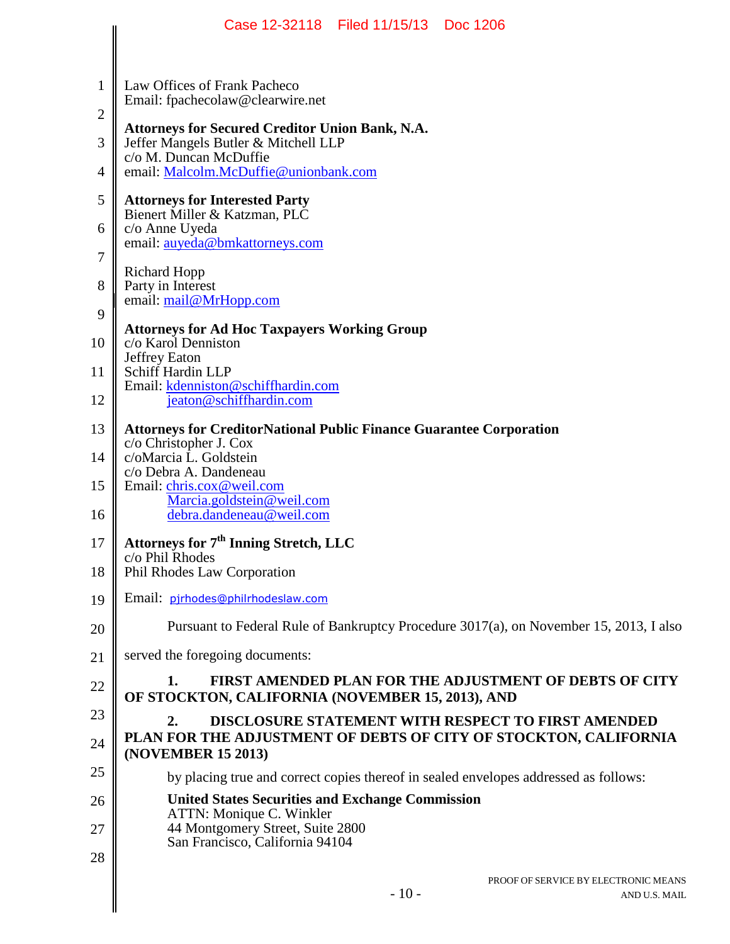|                | Case 12-32118 Filed 11/15/13 Doc 1206                                                                                    |
|----------------|--------------------------------------------------------------------------------------------------------------------------|
|                |                                                                                                                          |
| $\mathbf{1}$   | Law Offices of Frank Pacheco<br>Email: fpachecolaw@clearwire.net                                                         |
| 2              |                                                                                                                          |
| 3              | <b>Attorneys for Secured Creditor Union Bank, N.A.</b><br>Jeffer Mangels Butler & Mitchell LLP<br>c/o M. Duncan McDuffie |
| $\overline{4}$ | email: Malcolm.McDuffie@unionbank.com                                                                                    |
| 5              | <b>Attorneys for Interested Party</b><br>Bienert Miller & Katzman, PLC                                                   |
| 6              | c/o Anne Uyeda<br>email: auyeda@bmkattorneys.com                                                                         |
| 7              | <b>Richard Hopp</b>                                                                                                      |
| 8              | Party in Interest<br>email: mail@MrHopp.com                                                                              |
| 9              |                                                                                                                          |
| 10             | <b>Attorneys for Ad Hoc Taxpayers Working Group</b><br>c/o Karol Denniston                                               |
| 11             | Jeffrey Eaton<br>Schiff Hardin LLP                                                                                       |
| 12             | Email: kdenniston@schiffhardin.com<br>jeaton@schiffhardin.com                                                            |
| 13             | <b>Attorneys for CreditorNational Public Finance Guarantee Corporation</b>                                               |
| 14             | c/o Christopher J. Cox<br>c/oMarcia L. Goldstein                                                                         |
| 15             | c/o Debra A. Dandeneau<br>Email: chris.cox@weil.com                                                                      |
| 16             | Marcia.goldstein@weil.com<br>debra.dandeneau@weil.com                                                                    |
| 17             | Attorneys for 7 <sup>th</sup> Inning Stretch, LLC                                                                        |
| 18             | c/o Phil Rhodes<br>Phil Rhodes Law Corporation                                                                           |
| 19             | Email: pirhodes@philrhodeslaw.com                                                                                        |
| 20             | Pursuant to Federal Rule of Bankruptcy Procedure 3017(a), on November 15, 2013, I also                                   |
| 21             | served the foregoing documents:                                                                                          |
| 22             | 1.<br>FIRST AMENDED PLAN FOR THE ADJUSTMENT OF DEBTS OF CITY<br>OF STOCKTON, CALIFORNIA (NOVEMBER 15, 2013), AND         |
| 23             | <b>DISCLOSURE STATEMENT WITH RESPECT TO FIRST AMENDED</b><br>2.                                                          |
| 24             | PLAN FOR THE ADJUSTMENT OF DEBTS OF CITY OF STOCKTON, CALIFORNIA<br>(NOVEMBER 15 2013)                                   |
| 25             | by placing true and correct copies thereof in sealed envelopes addressed as follows:                                     |
| 26             | <b>United States Securities and Exchange Commission</b><br>ATTN: Monique C. Winkler                                      |
| 27             | 44 Montgomery Street, Suite 2800<br>San Francisco, California 94104                                                      |
| 28             |                                                                                                                          |
|                | PROOF OF SERVICE BY ELECTRONIC MEANS<br>$-10-$<br>AND U.S. MAIL                                                          |